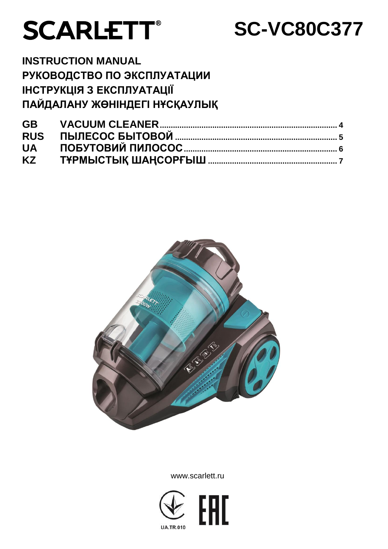# **SCARLETT®**

## **SC-VC80C377**

**INSTRUCTION MANUAL РУКОВОДСТВО ПО ЭКСПЛУАТАЦИИ ІНСТРУКЦІЯ З ЕКСПЛУАТАЦІЇ ПАЙДАЛАНУ ЖӨНІНДЕГІ НҰСҚАУЛЫҚ**



www.scarlett.ru

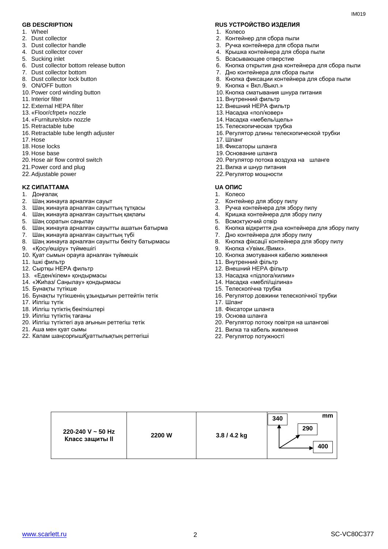- 1. Wheel
- 2. Dust collector
- 3. Dust collector handle
- 4. Dust collector cover
- 5. Sucking inlet
- 6. Dust collector bottom release button
- 7. Dust collector bottom
- 8. Dust collector lock button
- 9. ON/OFF button
- 10. Power cord winding button
- 11. Interior filter
- 12. External HEPA filter
- 13. «Floor/cfrpet» nozzle
- 14. «Furniture/slot» nozzle
- 15. Retractable tube
- 16. Retractable tube length adjuster
- 17. Hose
- 18. Hose locks
- 19. Hose base
- 20. Hose air flow control switch
- 21.Power cord and plug
- 22.Adjustable power

#### **KZ СИПАТТАМА UA ОПИС**

- 1. Доңғалақ
- 2. Шаң жинауға арналған сауыт
- 3. Шаң жинауға арналған сауыттың тұтқасы
- 4. Шаң жинауға арналған сауыттың қақпағы
- 5. Шаң соратын саңылау
- 6. Шаң жинауға арналған сауытты ашатын батырма
- 7. Шаң жинауға арналған сауыттың түбі
- 8. Шаң жинауға арналған сауытты бекіту батырмасы
- 9. «Қосу/өшіру» түймешігі
- 10. Қуат сымын орауға арналған түймешік
- 11. Iшкi фильтр
- 12. Сыртқы HEPA фильтр
- 13. «Еден/кілем» қондырмасы
- 14. «Жиһаз/ Саңылау» қондырмасы
- 15. Бунақты түтікше
- 16. Бунақты түтікшенің ұзындығын реттейтін тетік
- 17. Иілгіш түтік
- 18. Иілгіш түтіктің бекіткіштері
- 19. Иілгіш түтіктің тағаны
- 20. Иілгіш түтіктегі ауа ағынын реттегіш тетік
- 21. Аша мен қуат сымы
- 22. Калам шаңсорғышҚуаттылықтың реттегіші

#### **GB DESCRIPTION RUS УСТРОЙСТВО ИЗДЕЛИЯ**

- 1. Колесо
- 2. Контейнер для сбора пыли
- 3. Ручка контейнера для сбора пыли
- 4. Крышка контейнера для сбора пыли
- 5. Всасывающее отверстие
- 6. Кнопка открытия дна контейнера для сбора пыли
- 7. Дно контейнера для сбора пыли
- 8. Кнопка фиксации контейнера для сбора пыли
- 9. Кнопка « Вкл./Выкл.»
- 10. Кнопка сматывания шнура питания
- 11. Внутренний фильтр
- 12. Внешний HEPA фильтр
- 13. Насадка «пол/ковер»
- 14. Насадка «мебель/щель»
- 15. Телескопическая трубка
- 16. Регулятор длины телескопической трубки
- 17. Шланг
- 18. Фиксаторы шланга
- 19. Основание шланга
- 20. Регулятор потока воздуха на шланге
- 21.Вилка и шнур питания
- 22.Регулятор мощности

- 1. Колесо
- 2. Контейнер для збору пилу
- 3. Ручка контейнера для збору пилу
- 4. Кришка контейнера для збору пилу
- 5. Всмоктуючий отвір
- 6. Кнопка відкриття дна контейнера для збору пилу
- 7. Дно контейнера для збору пилу
- 8. Кнопка фіксації контейнера для збору пилу
- 9. Кнопка «Увімк./Вимк».
- 10. Кнопка змотування кабелю живлення
- 11. Внутренний фільтр
- 12. Внешний HEPA фільтр
- 13. Насадка «підлога/килим»
- 14. Насадка «меблі/щілина»
- 15. Телескопічна трубка
- 16. Регулятор довжини телескопічної трубки
- 17. Шланг
- 18. Фіксатори шланга
- 19. Основа шланга
- 20. Регулятор потоку повітря на шлангові
- 21. Вилка та кабель живлення
- 22. Регулятор потужності

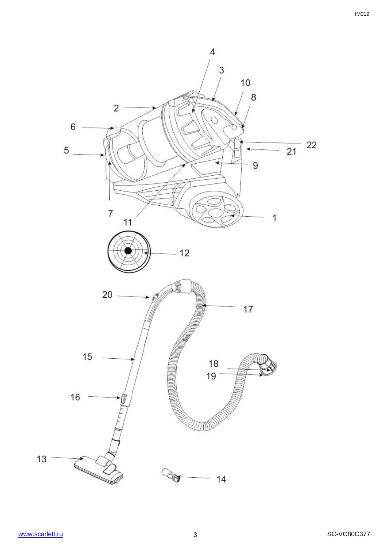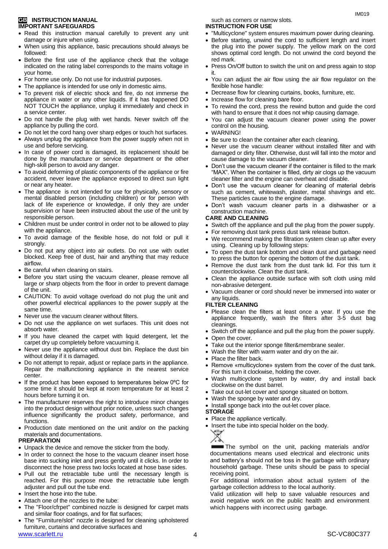#### **GB INSTRUCTION MANUAL IMPORTANT SAFEGUARDS**

- Read this instruction manual carefully to prevent any unit damage or injure when using.
- When using this appliance, basic precautions should always be followed:
- Before the first use of the appliance check that the voltage indicated on the rating label corresponds to the mains voltage in your home.
- For home use only. Do not use for industrial purposes.
- The appliance is intended for use only in domestic aims.
- To prevent risk of electric shock and fire, do not immerse the appliance in water or any other liquids. If it has happened DO NOT TOUCH the appliance, unplug it immediately and check in a service center.
- Do not handle the plug with wet hands. Never switch off the appliance by pulling the cord.
- Do not let the cord hang over sharp edges or touch hot surfaces.
- Always unplug the appliance from the power supply when not in use and before servicing.
- In case of power cord is damaged, its replacement should be done by the manufacture or service department or the other high-skill person to avoid any danger.
- To avoid deforming of plastic components of the appliance or fire accident, never leave the appliance exposed to direct sun light or near any heater.
- The appliance is not intended for use for [physically, sensory or](https://www.multitran.ru/c/m.exe?t=5841801_1_2&s1=%F7%E5%EB%EE%E2%E5%EA%20%F1%20%EE%E3%F0%E0%ED%E8%F7%E5%ED%ED%FB%EC%E8%20%E2%EE%E7%EC%EE%E6%ED%EE%F1%F2%FF%EC%E8)  [mental disabled](https://www.multitran.ru/c/m.exe?t=5841801_1_2&s1=%F7%E5%EB%EE%E2%E5%EA%20%F1%20%EE%E3%F0%E0%ED%E8%F7%E5%ED%ED%FB%EC%E8%20%E2%EE%E7%EC%EE%E6%ED%EE%F1%F2%FF%EC%E8) person (including children) or for person with lack of life experience or knowledge, if only they are under supervision or have been instructed about the use of the unit by responsible person.
- Children must be under control in order not to be allowed to play with the appliance.
- To avoid damage of the flexible hose, do not fold or pull it strongly.
- Do not put any object into air outlets. Do not use with outlet blocked. Keep free of dust, hair and anything that may reduce airflow.
- Be careful when cleaning on stairs.
- Before you start using the vacuum cleaner, please remove all large or sharp objects from the floor in order to prevent damage of the unit.
- CAUTION: To avoid voltage overload do not plug the unit and other powerful electrical appliances to the power supply at the same time.
- Never use the vacuum cleaner without filters.
- Do not use the appliance on wet surfaces. This unit does not absorb water.
- If you have cleaned the carpet with liquid detergent, let the carpet dry up completely before vacuuming it.
- Never use the appliance without dust bin. Replace the dust bin without delay if it is damaged.
- Do not attempt to repair, adjust or replace parts in the appliance. Repair the malfunctioning appliance in the nearest service center.
- $\bullet$  If the product has been exposed to temperatures below 0 $\degree$ C for some time it should be kept at room temperature for at least 2 hours before turning it on.
- The manufacturer reserves the right to introduce minor changes into the product design without prior notice, unless such changes influence significantly the product safety, performance, and functions.
- Production date mentioned on the unit and/or on the packing materials and documentations.

## **PREPARATION**

- Unpack the device and remove the sticker from the body.
- In order to connect the hose to the vacuum cleaner insert hose base into sucking inlet and press gently until it clicks. In order to disconnect the hose press two locks located at hose base sides.
- Pull out the retractable tube until the necessary length is reached. For this purpose move the retractable tube length adjuster and pull out the tube end.
- Insert the hose into the tube.
- Attach one of the nozzles to the tube:
- The "Floor/cfrpet" combined nozzle is designed for carpet mats and similar floor coatings, and for flat surfaces;
- The "Furniture/slot" nozzle is designed for cleaning upholstered furniture, curtains and decorative surfaces and

such as corners or narrow slots.

#### **INSTRUCTION FOR USE**

- "Multicyclone" system ensures maximum power during cleaning.
- Before starting, unwind the cord to sufficient length and insert the plug into the power supply. The yellow mark on the cord shows optimal cord length. Do not unwind the cord beyond the red mark.
- Press On/Off button to switch the unit on and press again to stop it.
- You can adjust the air flow using the air flow regulator on the flexible hose handle:
- Decrease flow for cleaning curtains, books, furniture, etc.
- Increase flow for cleaning bare floor.
- To rewind the cord, press the rewind button and guide the cord with hand to ensure that it does not whip causing damage.
- You can adjust the vacuum cleaner power using the power control on the housing.
- WARNING!
- Be sure to clean the container after each cleaning.
- Never use the vacuum cleaner without installed filter and with damaged or dirty filter. Otherwise, dust will fall into the motor and cause damage to the vacuum cleaner.
- Don't use the vacuum cleaner if the container is filled to the mark "MAX". When the container is filled, dirty air clogs up the vacuum cleaner filter and the engine can overheat and disable.
- Don't use the vacuum cleaner for cleaning of material debris such as cement, whitewash, plaster, metal shavings and etc. These particles cause to the engine damage.
- Don't wash vacuum cleaner parts in a dishwasher or a construction machine.

#### **CARE AND CLEANING**

- Switch off the appliance and pull the plug from the power supply.
- For removing dust tank press dust tank release button.
- We recommend making the filtration system clean up after every using. Cleaning up by following steps:
- To open the dust tank bottom and clean dust and garbage need to press the button for opening the bottom of the dust tank.
- Remove the dust tank from the dust tank lid. For this turn it counterclockwise. Clean the dust tank.
- Clean the appliance outside surface with soft cloth using mild non-abrasive detergent.
- Vacuum cleaner or cord should never be immersed into water or any liquids.

#### **FILTER CLEANING**

- Please clean the filters at least once a year. If you use the appliance frequently, wash the filters after 3-5 dust bag cleanings.
- Switch off the appliance and pull the plug from the power supply.
- Open the cover.
- Take out the interior sponge filter&membrane sealer.
- Wash the filter with warm water and dry on the air.
- Place the filter back.
- Remove «multicyclone» system from the cover of the dust tank. For this turn it clockwise, holding the cover.
- Wash multicyclone system by water, dry and install back clockwise on the dust barrel.
- Take out out-let cover and sponge situated on bottom.
- Wash the sponge by water and dry.
- Install sponge back into the out-let cover place.
- **STORAGE**
- Place the appliance vertically.
- Insert the tube into special holder on the body.



The symbol on the unit, packing materials and/or documentations means used electrical and electronic units and battery's should not be toss in the garbage with ordinary household garbage. These units should be pass to special receiving point.

For additional information about actual system of the garbage collection address to the local authority.

Valid utilization will help to save valuable resources and avoid negative work on the public health and environment which happens with incorrect using garbage.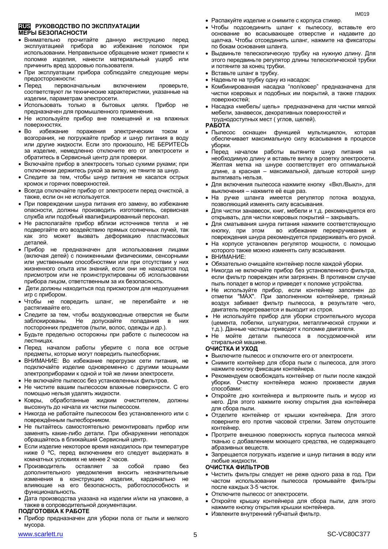#### **RUS РУКОВОДСТВО ПО ЭКСПЛУАТАЦИИ МЕРЫ БЕЗОПАСНОСТИ**

- Внимательно прочитайте данную инструкцию перед эксплуатацией прибора во избежание поломок при использовании. Неправильное обращение может привести к поломке изделия, нанести материальный ущерб или причинить вред здоровью пользователя.
- При эксплуатации прибора соблюдайте следующие меры предосторожности:
- Перед первоначальным включением проверьте, соответствуют ли технические характеристики, указанные на изделии, параметрам электросети.
- Использовать только в бытовых целях. Прибор не предназначен для промышленного применения.
- Не используйте прибор вне помещений и на влажных поверхностях.
- Во избежание поражения электрическим током и возгорания, не погружайте прибор и шнур питания в воду или другие жидкости. Если это произошло, НЕ БЕРИТЕСЬ за изделие, немедленно отключите его от электросети и обратитесь в Сервисный центр для проверки.
- Включайте прибор в электросеть только сухими руками; при отключении держитесь рукой за вилку, не тяните за шнур.
- Следите за тем, чтобы шнур питания не касался острых кромок и горячих поверхностей.
- Всегда отключайте прибор от электросети перед очисткой, а также, если он не используется.
- При повреждении шнура питания его замену, во избежание опасности, должны производить изготовитель, сервисная служба или подобный квалифицированный персонал.
- Не располагайте прибор вблизи источников тепла и не подвергайте его воздействию прямых солнечных лучей, так как это может вызвать деформацию пластмассовых деталей.
- Прибор не предназначен для использования лицами (включая детей) с пониженными физическими, сенсорными или умственными способностями или при отсутствии у них жизненного опыта или знаний, если они не находятся под присмотром или не проинструктированы об использовании прибора лицом, ответственным за их безопасность.
- Дети должны находиться под присмотром для недопущения игр с прибором.
- Чтобы не повредить шланг, не перегибайте и не растягивайте его.
- Следите за тем, чтобы воздуховодные отверстия не были заблокированы. Не допускайте попадания в них посторонних предметов (пыли, волос, одежды и др.).
- Будьте предельно осторожны при работе с пылесосом на лестницах.
- Перед началом работы уберите с пола все острые предметы, которые могут повредить пылесборник.
- ВНИМАНИЕ: Во избежание перегрузки сети питания, не подключайте изделие одновременно с другими мощными электроприборами к одной и той же линии электросети.
- Не включайте пылесос без установленных фильтров.
- Не чистите вашим пылесосом влажные поверхности. С его помощью нельзя удалять жидкости.
- Ковры, обработанные жидким очистителем, должны высохнуть до начала их чистки пылесосом.
- Никогда не работайте пылесосом без установленного или с повреждённым пылесборником.
- Не пытайтесь самостоятельно ремонтировать прибор или заменять какие-либо детали. При обнаружении неполадок обращайтесь в ближайший Сервисный центр.
- Если изделие некоторое время находилось при температуре ниже 0 ºC, перед включением его следует выдержать в комнатных условиях не менее 2 часов.
- Производитель оставляет за собой право без дополнительного уведомления вносить незначительные изменения в конструкцию изделия, кардинально не влияющие на его безопасность, работоспособность и функциональность.
- Дата производства указана на изделии и/или на упаковке, а также в сопроводительной документации.

#### **ПОДГОТОВКА К РАБОТЕ**

- Прибор предназначен для уборки пола от пыли и мелкого мусора.
- 
- Распакуйте изделие и снимите с корпуса стикер.
- Чтобы подсоединить шланг к пылесосу, вставьте его основание во всасывающее отверстие и надавите до щелчка. Чтобы отсоединить шланг, нажмите на фиксаторы по бокам основания шланга.
- Выдвиньте телескопическую трубку на нужную длину. Для этого передвиньте регулятор длины телескопической трубки и потяните за конец трубки.
- Вставьте шланг в трубку.
- Наденьте на трубку одну из насадок:
- Комбинированная насадка "пол/ковер" предназначена для чистки ковровых и подобных им покрытий, а также гладких поверхностей;
- Насадка «мебель/ щель» предназначена для чистки мягкой мебели, занавесок, декоративных поверхностей и труднодоступных мест ( углов, щелей).

#### **РАБОТА**

- Пылесос оснащен функцией мультициклон, которая обеспечивает максимальную силу всасывания в процессе уборки.
- Перед началом работы вытяните шнур питания на необходимую длину и вставьте вилку в розетку электросети. Желтая метка на шнуре соответствует его оптимальной длине, а красная – максимальной, дальше которой шнур вытягивать нельзя.
- Для включения пылесоса нажмите кнопку «Вкл./Выкл», для выключения – нажмите её еще раз.
- На ручке шланга имеется регулятор потока воздуха, позволяющий изменять силу всасывания.
- Для чистки занавесок, книг, мебели и т.д. рекомендуется его открывать, для чистки ковровых покрытий – закрывать.
- Для сматывания шнура питания нажмите соответствующую кнопку, при этом во избежание перекручивания и повреждения шнура рекомендуется придерживать его рукой.
- На корпусе установлен регулятор мощности, с помощью которого также можно изменять силу всасывания.
- ВНИМАНИЕ:
- Обязательно очищайте контейнер после каждой уборки.
- Никогда не включайте прибор без установленного фильтра, если фильтр поврежден или загрязнен. В противном случае пыль попадет в мотор и приведет к поломке устройства.
- Не используйте прибор, если контейнер заполнен до отметки "MAX". При заполненном контейнере, грязный воздух забивает фильтр пылесоса, в результате чего, двигатель перегревается и выходит из строя.
- Не используйте прибор для уборки строительного мусора (цемента, побелки, штукатурки, металлической стружки и т.д.). Данные частицы приводят к поломке двигателя.
- Не мойте детали пылесоса в посудомоечной или стиральной машине.

#### **ОЧИСТКА И УХОД**

- Выключите пылесос и отключите его от электросети.
- Снимите контейнер для сбора пыли с пылесоса, для этого нажмите кнопку фиксации контейнера.
- Рекомендуем освобождать контейнер от пыли после каждой уборки. Очистку контейнера можно произвести двумя способами:
- Откройте дно контейнера и вытряхните пыль и мусор из него. Для этого нажмите кнопку открытия дна контейнера для сбора пыли.
- Отделите контейнер от крышки контейнера. Для этого поверните его против часовой стрелки. Затем опустошите контейнер.
- Протрите внешнюю поверхность корпуса пылесоса мягкой тканью с добавлением моющего средства, не содержащего абразивных веществ.
- Запрещается погружать изделие и шнур питания в воду или любые жидкости.

#### **ОЧИСТКА ФИЛЬТРОВ**

- Чистить фильтры следует не реже одного раза в год. При частом использовании пылесоса промывайте фильтры после каждых 3-5 чисток.
- Отключите пылесос от электросети.
- Откройте крышку контейнера для сбора пыли, для этого нажмите кнопку открытия крышки контейнера.
- Извлеките внутренний губчатый фильтр.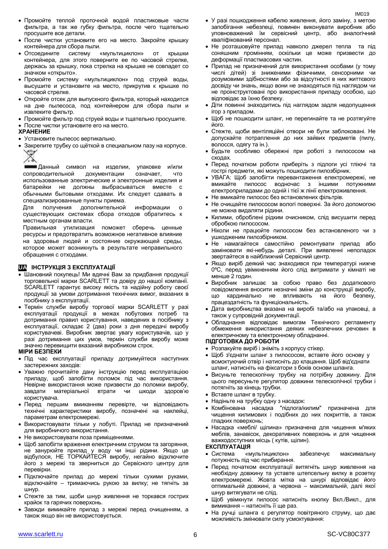- После чистки установите его на место. Закройте крышку контейнера для сбора пыли.
- Отсоедините систему «мультициклон» от крышки контейнера, для этого поверните ее по часовой стрелке, держась за крышку, пока стрелка на крышке не совпадет со значком «открыто».
- Промойте систему «мультициклон» под струей воды, высушите и установите на место, прикрутив к крышке по часовой стрелке.
- Откройте отсек для выпускного фильтра, который находится на дне пылесоса, под контейнером для сбора пыли и извлеките фильтр.
- Промойте фильтр под струей воды и тщательно просушите. После чистки установите его на место.

#### **ХРАНЕНИЕ**

- Установите пылесос вертикально.
- Закрепите трубку со щёткой в специальном пазу на корпусе.
	-

Данный символ на изделии, упаковке и/или сопроводительной документации означает, что использованные электрические и электронные изделия и батарейки не должны выбрасываться вместе с обычными бытовыми отходами. Их следует сдавать в специализированные пункты приема.

Для получения дополнительной информации о существующих системах сбора отходов обратитесь к местным органам власти.

Правильная утилизация поможет сберечь ценные ресурсы и предотвратить возможное негативное влияние на здоровье людей и состояние окружающей среды, которое может возникнуть в результате неправильного обращения с отходами.

#### **UA ІНСТРУКЦІЯ З ЕКСПЛУАТАЦІЇ**

- Шановний покупець! Ми вдячні Вам за придбання продукції торговельної марки SCARLETT та довіру до нашої компанії. SCARLETT гарантує високу якість та надійну роботу своєї продукції за умови дотримання технічних вимог, вказаних в посібнику з експлуатації.
- Термін служби виробу торгової марки SCARLETT у разі експлуатації продукції в межах побутових потреб та дотримання правил користування, наведених в посібнику з експлуатації, складає 2 (два) роки з дня передачі виробу користувачеві. Виробник звертає увагу користувачів, що у разі дотримання цих умов, термін служби виробу може значно перевищити вказаний виробником строк.

#### **МІРИ БЕЗПЕКИ**

- Пiд час експлуатації приладу дотримуйтеся наступних застережних заходів:
- Уважно прочитайте дану інструкцію перед експлуатацією приладу, щоб запобігти поломок пiд час використання. Невірне використання може призвести до поломки виробу, завдати матеріальної втрати чи шкоди здоров'ю користувача.
- Перед першим вмиканням перевірте, чи відповідають технічні характеристики виробу, позначені на наклейці, параметрам електромережі.
- Використовувати тільки у побуті. Прилад не призначений для виробничого використання.
- Не використовувати поза приміщеннями.
- Щоб запобігти враження електричним струмом та загоряння, не занурюйте прилад у воду чи інші рідини. Якщо це відбулося, НЕ ТОРКАЙТЕСЯ виробу, негайно відключите його з мережі та зверниться до Сервісного центру для перевірки.
- Підключайте прилад до мережі тільки сухими руками, відключайте – тримаючись рукою за вилку; не тягніть за шнур.
- Стежте за тим, щоби шнур живлення не торкався гострих крайок та гарячих поверхонь.
- Завжди вимикайте прилад з мережі перед очищенням, а також якщо він не використовується.
- У разі пошкодження кабелю живлення, його заміну, з метою запобігання небезпеці, повинен виконувати виробник або уповноважений їм сервісний центр, або аналогічний кваліфікований персонал.
- Не розташовуйте прилад навколо джерел тепла та під соняшним промінням, оскільки це може призвести до деформації пластмасових частин.
- Прилад не призначений для використання особами (у тому числі дітей) зі зниженими фізичними, сенсорними чи розумовими здібностями або за відсутності в них життєвого досвіду чи знань, якщо вони не знаходяться під наглядом чи не проінструктовані про використання приладу особою, що відповідає за їхню безпеку.
- Діти повинні знаходитись під наглядом задля недопущення ігор з приладом.
- Шоб не пошкодити шланг, не перегинайте та не розтягуйте його.
- Стежте, щоби вентіляційні отвори не були заблоковані. Не допускайте потраплення до них зайвих предметів (пилу, волосся, одягу та ін.).
- Будьте особливо обережні при роботі з пилососом на сходах.
- Перед початком роботи приберіть з підлоги усі тліючі та гострі предмети, які можуть пошкодити пилозбірник.
- УВАГА: Щоб запобігти перевантаження електромережі, не вмикайте пилосос водночас з іншими потужними електроприладами до одній і тієї ж лінії електроживлення.
- Не вмикайте пилосос без встановлених фільтрів.
- Не очищайте пилососом вологі поверхні. За його допомогою не можна видаляти рідини.
- Килими, оброблені рідким очисником, слід висушити перед обробкою пилососом.
- Ніколи не працюйте пилососом без встановленого чи з ушкодженим пилозбірником.
- Не намагайтеся самостійно ремонтувати прилад або замінювати які-небудь деталі. При виявленні неполадок звертайтеся в найближчий Сервісний центр.
- Якщо виріб деякий час знаходився при температурі нижче 0ºC, перед увімкненням його слід витримати у кімнаті не менше 2 годин.
- Виробник залишає за собою право без додаткового повідомлення вносити незначні зміни до конструкції виробу, що кардинально не впливають на його безпеку, працездатність та функціональність.
- Дата виробництва вказана на виробі та/або на упаковці, а також у супровідній документації.
- Обладнання відповідає вимогам Технічного регламенту обмеження використання деяких небезпечних речовин в електричному та електронному обладнанні.

#### **ПІДГОТОВКА ДО РОБОТИ**

- Розпакуйте виріб і зніміть з корпусу стікер.
- Шоб з'єднати шланг з пилососом, вставте його основу у всмоктуючий отвір і натисніть до клацання. Щоб від'єднати шланг, натисніть на фіксатори з боків основи шланга.
- Висуньте телескопічну трубку на потрібну довжину. Для цього пересуньте регулятор довжини телескопічної трубки і потягніть за кінець трубки.
- Вставте шланг в трубку.
- Надіньте на трубку одну з насадок:
- Комбінована насадка "підлога/килим" призначена для чищення килимових і подібних до них покриттів, а також гладких поверхонь;
- Насадка «меблі/ щілина» призначена для чищення м'яких меблів, занавісок, декоративних поверхонь и для чищення важкодоступних місць ( кутів, щілин).

#### **ЕКСПЛУАТАЦІЯ**

- Система «мультициклон» забезпечує максимальну потужність під час прибирання.
- Перед початком експлуатації витягніть шнур живлення на необхідну довжину та уставте штепсельну вилку в розетку електромережі. Жовта мітка на шнурі відповідає його оптимальній довжині, а червона – максимальній, далі якої шнур витягувати не слід.
- Щоб увімкнути пилосос натисніть кнопку Вкл./Викл., для вимикання – натисніть її ще раз.
- На ручці шланга є регулятор повітряного струму, що дає можливість змінювати силу усмоктування: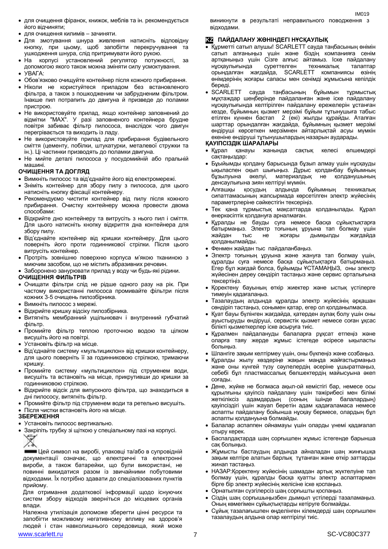- для очищення фіранок, книжок, меблів та ін. рекомендується його відчиняти;
- для очищення килимів зачиняти.
- Для змотування шнура живлення натисніть відповідну кнопку, при цьому, щоб запобігти перекручування та ушкодження шнура, слід притримувати його рукою.
- На корпусі установлений регулятор потужності, за допомогою якого також можна зміняти силу усмоктування.
- УВАГА:
- Обов'язково очищуйте контейнер після кожного прибирання.
- Ніколи не користуйтеся приладом без встановленого фільтра, а також з пошкодженим чи забрудненим фільтром. Інакше пил потрапить до двигуна й призведе до поламки пристрою.
- Не використовуйте прилад, якщо контейнер заповнений до відмітки "MAX". У разі заповненого контейнера брудне повітря забиває фільтр пилососа, внаслідок чого двигун перегрівається та виходить із ладу.
- Не використовуйте прилад для прибирання будівельного сміття (цементу, побілки, штукатурки, металевої стружки та ін.). Ці частинки призводять до поламки двигуна.
- Не мийте деталі пилососа у посудомийній або пральній машині.

#### **ОЧИЩЕННЯ ТА ДОГЛЯД**

- Вимкніть пилосос та від'єднайте його від електромережі.
- Зніміть контейнер для збору пилу з пилососа, для цього натисніть кнопку фіксації контейнеру.
- Рекомендуємо чистити контейнер від пилу після кожного прибирання. Очистку контейнеру можна провести двома способами:
- Відкрийте дно контейнеру та витрусіть з нього пил і сміття. Для цього натисніть кнопку відкриття дна контейнера для збору пилу.
- Від'єднайте контейнер від кришки контейнеру. Для цього поверніть його проти годинникової стрілки. Після цього витрусіть контейнер.
- Протріть зовнішню поверхню корпуса м'якою тканиною з миючим засобом, що не містить абразивних речовин.
- Заборонено занурювати прилад у воду чи будь-які рідини.

#### **ОЧИЩЕННЯ ФИЛЬТРІВ**

- Очищати фільтри слід не рідше одного разу на рік. При частому використанні пилососа промивайте фільтри після кожних 3-5 очищень пилозбірника.
- Вимкніть пилосос з мережі.
- Відкрийте кришку відсіку пилозбірника.
- Витягніть мембранний ущільнювач і внутренний губчатий фільтр.
- Промийте фільтр теплою проточною водою та цілком висушіть його на повітрі.
- Установіть фільтр на місце.
- Від'єднайте систему «мультициклон» від кришки контейнеру, для цього поверніть її за годинниковою стрілкою, тримаючи кришку.
- Промийте систему «мультициклон» під струменем води, висушіть та встановіть на місце, прикрутивши до кришки за годинниковою стрілкою.
- Відкрийте відсік для випускного фільтра, що знаходиться в дні пилососу, витягніть фільтр.
- Промийте фільтр під струменем води та ретельно висушіть.
- Після чистки встановіть його на місце.

#### **ЗБЕРЕЖЕННЯ**

- Установіть пилосос вертикально.
- Закріпіть трубку зі щіткою у спеціальному пазі на корпусі.



Цей символ на виробі, упаковці та/або в супровідній документації означає, що електричні та електронні вироби, а також батарейки, що були використані, не повинні викидатися разом із звичайними побутовими відходами. Їх потрібно здавати до спеціалізованих пунктів прийому.

Для отримання додаткової інформації щодо існуючих систем збору відходів зверніться до місцевих органів влади.

www.scarlett.ru 7 SC-VC80C377 Належна утилізація допоможе зберегти цінні ресурси та запобігти можливому негативному впливу на здоров'я людей і стан навколишнього середовища, який може

виникнути в результаті неправильного поводження з відходами.

IM<sub>019</sub>

#### **KZ ПАЙДАЛАНУ ЖӨНІНДЕГІ НҰСҚАУЛЫҚ**

- Құрметті сатып алушы! SCARLETT сауда таңбасының өнімін сатып алғаныңыз үшін және біздің компанияға сенім артқаныңыз үшін Сізге алғыс айтамыз. Іске пайдалану нұсқаулығында суреттелген техникалық талаптар орындалған жағдайда, SCARLETT компаниясы өзінің өнімдерінің жоғары сапасы мен сенімді жұмысына кепілдік
- береді.<br>• SCARLETT сауда таңбасының бұйымын тұрмыстық мұқтаждар шеңберінде пайдаланған және іске пайдалану нұсқаулығында келтірілген пайдалану ережелерін ұстанған кезде, бұйымның қызмет мерзімі бұйым тұтынушыға табыс етілген күннен бастап 2 (екі) жылды құрайды. Аталған шарттар орындалған жағдайда, бұйымның қызмет мерзімі өндіруші көрсеткен мерзімнен айтарлықтай асуы мүмкін екеніне өндіруші тұтынушылардың назарын аударады.

#### **ҚАУІПСІЗДІК ШАРАЛАРЫ**

- Құрал қанауы жанында сақтық келесі өлшемдері сақтаңыздар:
- Бұыйымды қолдану барысында бұзып алмау үшін нұсқауды ықыласпен оқып шығыңыз. Дұрыс қолданбау бұйымның бұзылуына әкелуі, материалдық не қолданушының денсаулығына зиян келтіруі мүмкін.
- Алғашқы қосудың алдында бұйымның техникалық сипаттамасының жапсырмада көрсетілген электр жүйесінің параметрлеріне сәйкестігін тексеріңіз.
- Тек қана тұрмыстық мақсаттарда қолданылады. Құрал өнеркәсіптік қолдануға арналмаған.
- Құралды не бауды суға немесе басқа сұйықтықтарға батырмаңыз. Электр тоғының ұруына тап болмау үшін жайдан тыс не жоғары дымқылды жағдайда қолданылмайды.
- Фенмен жайдан тыс пайдаланбаңыз.
- Электр тоғының ұруына және жануға тап болмау үшін, құралды суға немесе басқа сұйықтықтарға батырмаңыз. Егер бұл жағдай болса, бұйымды ҰСТАМАҢЫЗ, оны электр жүйесінен дереу сөндіріп тастаңыз және сервис орталығына тексертіңіз.
- Қоректену бауының өткір жиектер және ыстық үстілерге тимеуін қадағалаңыз.
- Тазалаудың алдында құралды электр жүйесінің әрқашан сөндіріп тастаңыз, сонымен қатар, егер ол қолданылмаса.
- Қуат бауы бүлінген жағдайда, қатерден аулақ болу үшін оны ауыстыруды өндіруші, сервистік қызмет немесе соған ұқсас білікті қызметкерлер іске асыруға тиіс.
- Құралмен пайдалануды балаларға рұқсат етпеңіз және оларға таяу жерде жұмыс істегеде әсіресе ықыласты болыңыз.
- Шлангіге зақым келтірмеу үшін, оны бүкпеңіз және созбаңыз.
- Құралды жылу көздеріңе жақын маңда жайғастырмаңыз және оны күнгей түзу сәулелердің әсеріне ұшыратпаңыз, себебі бұл пластмассалық бөлшектердің майысуына әкеп соғады.
- Дене, жүйке не болмаса ақыл-ой кемістігі бар, немесе осы құрылғыны қауіпсіз пайдалану үшін тәжірибесі мен білімі жеткіліксіз адамдардың (соның ішінде балалардың) қауіпсіздігі үшін жауап беретін адам қадағаламаса немесе аспапты пайдалану бойынша нұсқау бермесе, олардың бұл аспапты қолдануына болмайды.
- Балалар аспаппен ойнамауы үшін оларды үнемі қадағалап отыру керек.
- Баспалдақтарда шаң сорғышпен жұмыс істегенде барынша сақ болыңыз.
- Жұмысты бастаудың алдында айналадан шаң жинғышқа зақым келтіре алатын барлық тұтанған және өткір заттарды жинап тастаңыз.
- НАЗАР:Қоректену жүйесінің шамадан артық жүктелуіне тап болмау үшін, құралды басқа қуатты электр аспаптармен бірге бір электр жүйесінің желісіне іске қоспаңыз.
- Орнатылған сүзгілерсіз шаң сорғышты қоспаңыз.
- Сіздің шаң сорғышыңызбен дымқыл үстілерді тазаламаңыз. Оның көмегімен сұйықтықтарды кетіруге болмайды.
- Сұйық тазалағышпен өңделінген кілемдерді шаң сорғышпен тазалаудың алдына олар кептірілуі тиіс.